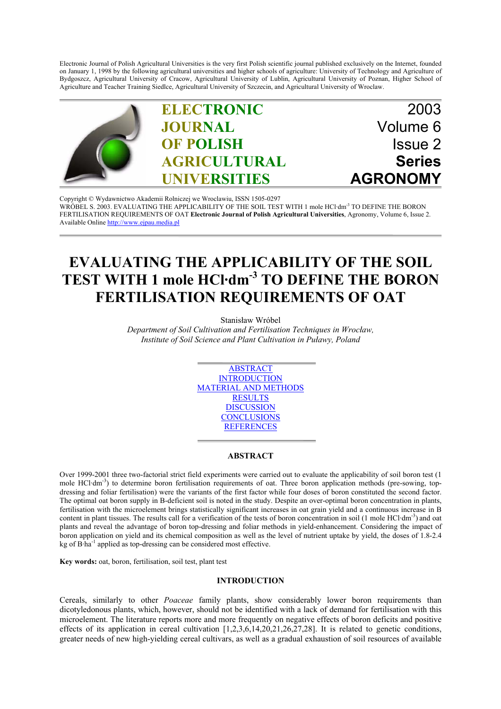Electronic Journal of Polish Agricultural Universities is the very first Polish scientific journal published exclusively on the Internet, founded on January 1, 1998 by the following agricultural universities and higher schools of agriculture: University of Technology and Agriculture of Bydgoszcz, Agricultural University of Cracow, Agricultural University of Lublin, Agricultural University of Poznan, Higher School of Agriculture and Teacher Training Siedlce, Agricultural University of Szczecin, and Agricultural University of Wroclaw.



Copyright © Wydawnictwo Akademii Rolniczej we Wroclawiu, ISSN 1505-0297 WRÓBEL S. 2003. EVALUATING THE APPLICABILITY OF THE SOIL TEST WITH 1 mole HCl·dm<sup>-3</sup> TO DEFINE THE BORON FERTILISATION REQUIREMENTS OF OAT **Electronic Journal of Polish Agricultural Universities**, Agronomy, Volume 6, Issue 2. Available Online http://www.ejpau.media.pl

# **EVALUATING THE APPLICABILITY OF THE SOIL TEST WITH 1 mole HCl·dm-3 TO DEFINE THE BORON FERTILISATION REQUIREMENTS OF OAT**

Stanisław Wróbel

*Department of Soil Cultivation and Fertilisation Techniques in Wrocław, Institute of Soil Science and Plant Cultivation in Puławy, Poland*



### **ABSTRACT**

Over 1999-2001 three two-factorial strict field experiments were carried out to evaluate the applicability of soil boron test (1 mole HCl·dm<sup>-3</sup>) to determine boron fertilisation requirements of oat. Three boron application methods (pre-sowing, topdressing and foliar fertilisation) were the variants of the first factor while four doses of boron constituted the second factor. The optimal oat boron supply in B-deficient soil is noted in the study. Despite an over-optimal boron concentration in plants, fertilisation with the microelement brings statistically significant increases in oat grain yield and a continuous increase in B content in plant tissues. The results call for a verification of the tests of boron concentration in soil (1 mole HCl·dm-3) and oat plants and reveal the advantage of boron top-dressing and foliar methods in yield-enhancement. Considering the impact of boron application on yield and its chemical composition as well as the level of nutrient uptake by yield, the doses of 1.8-2.4 kg of B·ha-1 applied as top-dressing can be considered most effective.

**Key words:** oat, boron, fertilisation, soil test, plant test

### **INTRODUCTION**

Cereals, similarly to other *Poaceae* family plants, show considerably lower boron requirements than dicotyledonous plants, which, however, should not be identified with a lack of demand for fertilisation with this microelement. The literature reports more and more frequently on negative effects of boron deficits and positive effects of its application in cereal cultivation  $[1,2,3,6,14,20,21,26,27,28]$ . It is related to genetic conditions, greater needs of new high-yielding cereal cultivars, as well as a gradual exhaustion of soil resources of available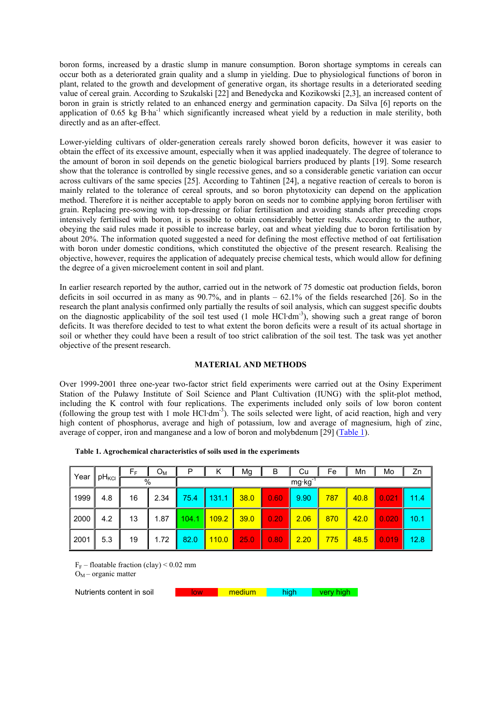boron forms, increased by a drastic slump in manure consumption. Boron shortage symptoms in cereals can occur both as a deteriorated grain quality and a slump in yielding. Due to physiological functions of boron in plant, related to the growth and development of generative organ, its shortage results in a deteriorated seeding value of cereal grain. According to Szukalski [22] and Benedycka and Kozikowski [2,3], an increased content of boron in grain is strictly related to an enhanced energy and germination capacity. Da Silva [6] reports on the application of 0.65 kg B·ha<sup>-1</sup> which significantly increased wheat yield by a reduction in male sterility, both directly and as an after-effect.

Lower-yielding cultivars of older-generation cereals rarely showed boron deficits, however it was easier to obtain the effect of its excessive amount, especially when it was applied inadequately. The degree of tolerance to the amount of boron in soil depends on the genetic biological barriers produced by plants [19]. Some research show that the tolerance is controlled by single recessive genes, and so a considerable genetic variation can occur across cultivars of the same species [25]. According to Tahtinen [24], a negative reaction of cereals to boron is mainly related to the tolerance of cereal sprouts, and so boron phytotoxicity can depend on the application method. Therefore it is neither acceptable to apply boron on seeds nor to combine applying boron fertiliser with grain. Replacing pre-sowing with top-dressing or foliar fertilisation and avoiding stands after preceding crops intensively fertilised with boron, it is possible to obtain considerably better results. According to the author, obeying the said rules made it possible to increase barley, oat and wheat yielding due to boron fertilisation by about 20%. The information quoted suggested a need for defining the most effective method of oat fertilisation with boron under domestic conditions, which constituted the objective of the present research. Realising the objective, however, requires the application of adequately precise chemical tests, which would allow for defining the degree of a given microelement content in soil and plant.

In earlier research reported by the author, carried out in the network of 75 domestic oat production fields, boron deficits in soil occurred in as many as 90.7%, and in plants – 62.1% of the fields researched [26]. So in the research the plant analysis confirmed only partially the results of soil analysis, which can suggest specific doubts on the diagnostic applicability of the soil test used (1 mole HCl·dm-3), showing such a great range of boron deficits. It was therefore decided to test to what extent the boron deficits were a result of its actual shortage in soil or whether they could have been a result of too strict calibration of the soil test. The task was yet another objective of the present research.

## **MATERIAL AND METHODS**

Over 1999-2001 three one-year two-factor strict field experiments were carried out at the Osiny Experiment Station of the Puławy Institute of Soil Science and Plant Cultivation (IUNG) with the split-plot method, including the K control with four replications. The experiments included only soils of low boron content (following the group test with 1 mole HCl·dm-3). The soils selected were light, of acid reaction, high and very high content of phosphorus, average and high of potassium, low and average of magnesium, high of zinc, average of copper, iron and manganese and a low of boron and molybdenum [29] (Table 1).

| │ Year | <b>pH</b> <sub>KCI</sub> | ÞЕ | Oм   | P     | ĸ     | Mg   | В    | Cu   | Fe  | Mn   | Mo    | Zn   |
|--------|--------------------------|----|------|-------|-------|------|------|------|-----|------|-------|------|
|        |                          | %  |      | mg·kg |       |      |      |      |     |      |       |      |
| 1999   | 4.8                      | 16 | 2.34 | 75.4  | 131.1 | 38.0 | 0.60 | 9.90 | 787 | 40.8 | 0.021 | 11.4 |
| 2000   | 4.2                      | 13 | 1.87 | 104.1 | 109.2 | 39.0 | 0.20 | 2.06 | 870 | 42.0 | 0.020 | 10.1 |
| 2001   | 5.3                      | 19 | 1.72 | 82.0  | 110.0 | 25.0 | 0.80 | 2.20 | 775 | 48.5 | 0.019 | 12.8 |

|  |  | Table 1. Agrochemical characteristics of soils used in the experiments |  |
|--|--|------------------------------------------------------------------------|--|
|  |  |                                                                        |  |

 $F_F$  – floatable fraction (clay) < 0.02 mm  $O_M$  – organic matter

Nutrients content in soil low medium high very high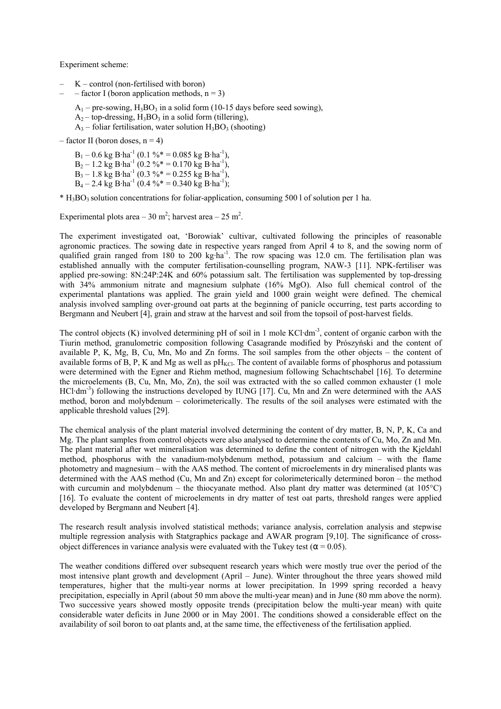Experiment scheme:

- $K$  control (non-fertilised with boron)
- factor I (boron application methods,  $n = 3$ )

 $A_1$  – pre-sowing,  $H_3BO_3$  in a solid form (10-15 days before seed sowing),

- $A_2$  top-dressing,  $H_3BO_3$  in a solid form (tillering),
- $A_3$  foliar fertilisation, water solution  $H_3BO_3$  (shooting)

 $-$  factor II (boron doses,  $n = 4$ )

 $B_1 - 0.6$  kg B·ha<sup>-1</sup> (0.1 % = 0.085 kg B·ha<sup>-1</sup>),  $B_2 - 1.2$  kg B·ha<sup>-1</sup> (0.2 %\* = 0.170 kg B·ha<sup>-1</sup>),  $B_3 - 1.8$  kg B·ha<sup>-1</sup> (0.3 %\* = 0.255 kg B·ha<sup>-1</sup>),  $B_4 - 2.4$  kg B·ha<sup>-1</sup> (0.4 %\* = 0.340 kg B·ha<sup>-1</sup>);

 $*$  H<sub>3</sub>BO<sub>3</sub> solution concentrations for foliar-application, consuming 500 l of solution per 1 ha.

Experimental plots area  $-30$  m<sup>2</sup>; harvest area  $-25$  m<sup>2</sup>.

The experiment investigated oat, 'Borowiak' cultivar, cultivated following the principles of reasonable agronomic practices. The sowing date in respective years ranged from April 4 to 8, and the sowing norm of qualified grain ranged from 180 to 200 kg·ha<sup>-1</sup>. The row spacing was 12.0 cm. The fertilisation plan was established annually with the computer fertilisation-counselling program, NAW-3 [11]. NPK-fertiliser was applied pre-sowing: 8N:24P:24K and 60% potassium salt. The fertilisation was supplemented by top-dressing with 34% ammonium nitrate and magnesium sulphate (16% MgO). Also full chemical control of the experimental plantations was applied. The grain yield and 1000 grain weight were defined. The chemical analysis involved sampling over-ground oat parts at the beginning of panicle occurring, test parts according to Bergmann and Neubert [4], grain and straw at the harvest and soil from the topsoil of post-harvest fields.

The control objects (K) involved determining pH of soil in 1 mole KCl·dm<sup>-3</sup>, content of organic carbon with the Tiurin method, granulometric composition following Casagrande modified by Prószyński and the content of available P, K, Mg, B, Cu, Mn, Mo and Zn forms. The soil samples from the other objects – the content of available forms of B, P, K and Mg as well as  $pH_{KCl}$ . The content of available forms of phosphorus and potassium were determined with the Egner and Riehm method, magnesium following Schachtschabel [16]. To determine the microelements (B, Cu, Mn, Mo, Zn), the soil was extracted with the so called common exhauster (1 mole HCl·dm<sup>-3</sup>) following the instructions developed by IUNG [17]. Cu, Mn and Zn were determined with the AAS method, boron and molybdenum – colorimeterically. The results of the soil analyses were estimated with the applicable threshold values [29].

The chemical analysis of the plant material involved determining the content of dry matter, B, N, P, K, Ca and Mg. The plant samples from control objects were also analysed to determine the contents of Cu, Mo, Zn and Mn. The plant material after wet mineralisation was determined to define the content of nitrogen with the Kjeldahl method, phosphorus with the vanadium-molybdenum method, potassium and calcium – with the flame photometry and magnesium – with the AAS method. The content of microelements in dry mineralised plants was determined with the AAS method (Cu, Mn and Zn) except for colorimeterically determined boron – the method with curcumin and molybdenum – the thiocyanate method. Also plant dry matter was determined (at 105°C) [16]. To evaluate the content of microelements in dry matter of test oat parts, threshold ranges were applied developed by Bergmann and Neubert [4].

The research result analysis involved statistical methods; variance analysis, correlation analysis and stepwise multiple regression analysis with Statgraphics package and AWAR program [9,10]. The significance of crossobject differences in variance analysis were evaluated with the Tukey test ( $\alpha$  = 0.05).

The weather conditions differed over subsequent research years which were mostly true over the period of the most intensive plant growth and development (April – June). Winter throughout the three years showed mild temperatures, higher that the multi-year norms at lower precipitation. In 1999 spring recorded a heavy precipitation, especially in April (about 50 mm above the multi-year mean) and in June (80 mm above the norm). Two successive years showed mostly opposite trends (precipitation below the multi-year mean) with quite considerable water deficits in June 2000 or in May 2001. The conditions showed a considerable effect on the availability of soil boron to oat plants and, at the same time, the effectiveness of the fertilisation applied.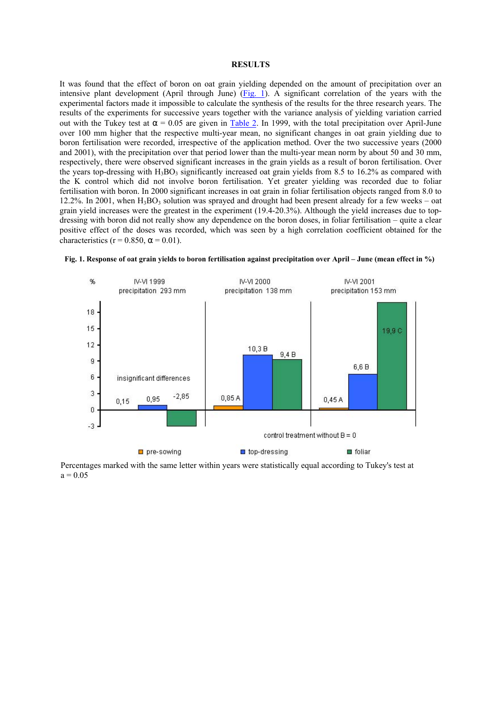### **RESULTS**

It was found that the effect of boron on oat grain yielding depended on the amount of precipitation over an intensive plant development (April through June) (Fig. 1). A significant correlation of the years with the experimental factors made it impossible to calculate the synthesis of the results for the three research years. The results of the experiments for successive years together with the variance analysis of yielding variation carried out with the Tukey test at  $\alpha$  = 0.05 are given in Table 2. In 1999, with the total precipitation over April-June over 100 mm higher that the respective multi-year mean, no significant changes in oat grain yielding due to boron fertilisation were recorded, irrespective of the application method. Over the two successive years (2000 and 2001), with the precipitation over that period lower than the multi-year mean norm by about 50 and 30 mm, respectively, there were observed significant increases in the grain yields as a result of boron fertilisation. Over the years top-dressing with  $H_3BO_3$  significantly increased oat grain yields from 8.5 to 16.2% as compared with the K control which did not involve boron fertilisation. Yet greater yielding was recorded due to foliar fertilisation with boron. In 2000 significant increases in oat grain in foliar fertilisation objects ranged from 8.0 to 12.2%. In 2001, when  $H_3BO_3$  solution was sprayed and drought had been present already for a few weeks – oat grain yield increases were the greatest in the experiment (19.4-20.3%). Although the yield increases due to topdressing with boron did not really show any dependence on the boron doses, in foliar fertilisation – quite a clear positive effect of the doses was recorded, which was seen by a high correlation coefficient obtained for the characteristics ( $r = 0.850$ ,  $\alpha = 0.01$ ).



**Fig. 1. Response of oat grain yields to boron fertilisation against precipitation over April – June (mean effect in %)**

Percentages marked with the same letter within years were statistically equal according to Tukey's test at  $a = 0.05$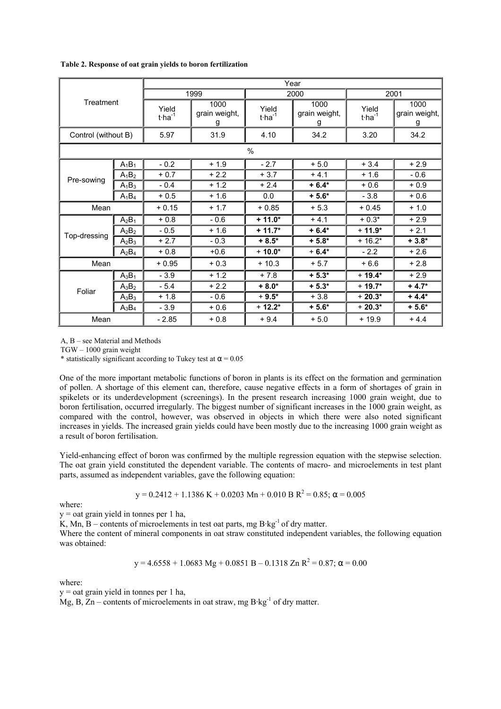| Treatment           |          | Year                           |                            |                                |                            |                                |                            |  |  |
|---------------------|----------|--------------------------------|----------------------------|--------------------------------|----------------------------|--------------------------------|----------------------------|--|--|
|                     |          |                                | 1999                       |                                | 2000                       | 2001                           |                            |  |  |
|                     |          | Yield<br>$t$ ·ha <sup>-1</sup> | 1000<br>grain weight,<br>g | Yield<br>$t$ ·ha <sup>-1</sup> | 1000<br>grain weight,<br>g | Yield<br>$t$ ·ha <sup>-1</sup> | 1000<br>grain weight,<br>g |  |  |
| Control (without B) |          | 5.97                           | 31.9                       | 4.10                           | 34.2                       | 3.20                           | 34.2                       |  |  |
|                     |          |                                |                            | $\frac{0}{0}$                  |                            |                                |                            |  |  |
|                     | $A_1B_1$ | $-0.2$                         | $+1.9$                     | $-2.7$                         | $+5.0$                     | $+3.4$                         | $+2.9$                     |  |  |
| Pre-sowing          | $A_1B_2$ | $+0.7$                         | $+2.2$                     | $+3.7$                         | $+4.1$                     | $+1.6$                         | $-0.6$                     |  |  |
|                     | $A_1B_3$ | $-0.4$                         | $+1.2$                     | $+2.4$                         | $+6.4*$                    | $+0.6$                         | $+0.9$                     |  |  |
|                     | $A_1B_4$ | $+0.5$                         | $+1.6$                     | 0.0                            | $+5.6*$                    | $-3.8$                         | $+0.6$                     |  |  |
| Mean                |          | $+0.15$                        | $+1.7$                     | $+0.85$                        | $+5.3$                     | $+0.45$                        | $+1.0$                     |  |  |
|                     | $A_2B_1$ | $+0.8$                         | $-0.6$                     | $+11.0*$                       | $+4.1$                     | $+0.3*$                        | $+2.9$                     |  |  |
|                     | $A_2B_2$ | $-0.5$                         | $+1.6$                     | $+11.7*$                       | $+6.4*$                    | $+11.9*$                       | $+2.1$                     |  |  |
| Top-dressing        | $A_2B_3$ | $+2.7$                         | $-0.3$                     | $+8.5*$                        | $+5.8*$                    | $+16.2*$                       | $+3.8*$                    |  |  |
|                     | $A_2B_4$ | $+0.8$                         | $+0.6$                     | $+10.0*$                       | $+6.4*$                    | $-2.2$                         | $+2.6$                     |  |  |
| Mean                |          | $+0.95$                        | $+0.3$                     | $+10.3$                        | $+5.7$                     | $+6.6$                         | $+2.8$                     |  |  |
|                     | $A_3B_1$ | $-3.9$                         | $+1.2$                     | $+7.8$                         | $+5.3*$                    | $+19.4*$                       | $+2.9$                     |  |  |
| Foliar              | $A_3B_2$ | $-5.4$                         | $+2.2$                     | $+8.0*$                        | $+5.3*$                    | $+19.7*$                       | $+4.7*$                    |  |  |
|                     | $A_3B_3$ | $+1.8$                         | $-0.6$                     | $+9.5*$                        | $+3.8$                     | $+20.3*$                       | $+4.4*$                    |  |  |
|                     | $A_3B_4$ | $-3.9$                         | $+0.6$                     | $+12.2*$                       | $+5.6*$                    | $+20.3*$                       | $+5.6*$                    |  |  |
| Mean                |          | $-2.85$                        | $+0.8$                     | $+9.4$                         | $+5.0$                     | $+19.9$                        | $+4.4$                     |  |  |

**Table 2. Response of oat grain yields to boron fertilization**

A, B – see Material and Methods

TGW – 1000 grain weight

\* statistically significant according to Tukey test at  $\alpha$  = 0.05

One of the more important metabolic functions of boron in plants is its effect on the formation and germination of pollen. A shortage of this element can, therefore, cause negative effects in a form of shortages of grain in spikelets or its underdevelopment (screenings). In the present research increasing 1000 grain weight, due to boron fertilisation, occurred irregularly. The biggest number of significant increases in the 1000 grain weight, as compared with the control, however, was observed in objects in which there were also noted significant increases in yields. The increased grain yields could have been mostly due to the increasing 1000 grain weight as a result of boron fertilisation.

Yield-enhancing effect of boron was confirmed by the multiple regression equation with the stepwise selection. The oat grain yield constituted the dependent variable. The contents of macro- and microelements in test plant parts, assumed as independent variables, gave the following equation:

 $y = 0.2412 + 1.1386$  K + 0.0203 Mn + 0.010 B R<sup>2</sup> = 0.85;  $\alpha$  = 0.005

where:

y = oat grain yield in tonnes per 1 ha,

K, Mn, B – contents of microelements in test oat parts, mg  $B \cdot kg^{-1}$  of dry matter.

Where the content of mineral components in oat straw constituted independent variables, the following equation was obtained:

$$
y = 4.6558 + 1.0683 \text{ Mg} + 0.0851 \text{ B} - 0.1318 \text{ Zn R}^2 = 0.87; \alpha = 0.00
$$

where:

y = oat grain yield in tonnes per 1 ha,

Mg, B,  $Zn$  – contents of microelements in oat straw, mg  $B \cdot kg^{-1}$  of dry matter.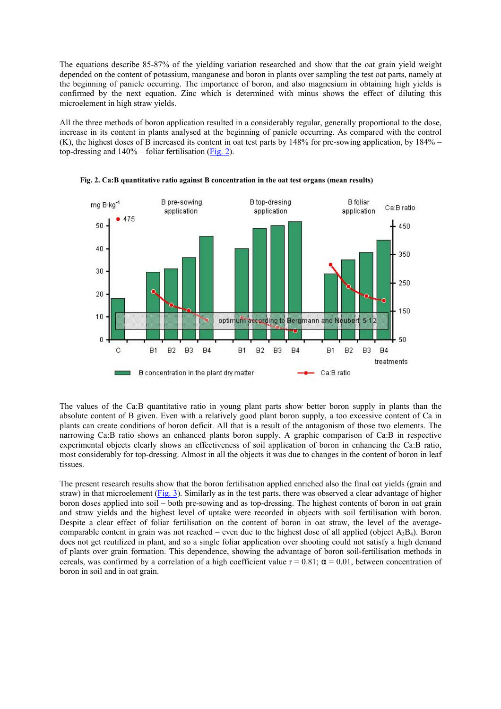The equations describe 85-87% of the yielding variation researched and show that the oat grain yield weight depended on the content of potassium, manganese and boron in plants over sampling the test oat parts, namely at the beginning of panicle occurring. The importance of boron, and also magnesium in obtaining high yields is confirmed by the next equation. Zinc which is determined with minus shows the effect of diluting this microelement in high straw yields.

All the three methods of boron application resulted in a considerably regular, generally proportional to the dose, increase in its content in plants analysed at the beginning of panicle occurring. As compared with the control (K), the highest doses of B increased its content in oat test parts by 148% for pre-sowing application, by 184% – top-dressing and 140% – foliar fertilisation (Fig. 2).



**Fig. 2. Ca:B quantitative ratio against B concentration in the oat test organs (mean results)**

The values of the Ca:B quantitative ratio in young plant parts show better boron supply in plants than the absolute content of B given. Even with a relatively good plant boron supply, a too excessive content of Ca in plants can create conditions of boron deficit. All that is a result of the antagonism of those two elements. The narrowing Ca:B ratio shows an enhanced plants boron supply. A graphic comparison of Ca:B in respective experimental objects clearly shows an effectiveness of soil application of boron in enhancing the Ca:B ratio, most considerably for top-dressing. Almost in all the objects it was due to changes in the content of boron in leaf tissues.

The present research results show that the boron fertilisation applied enriched also the final oat yields (grain and straw) in that microelement (Fig. 3). Similarly as in the test parts, there was observed a clear advantage of higher boron doses applied into soil – both pre-sowing and as top-dressing. The highest contents of boron in oat grain and straw yields and the highest level of uptake were recorded in objects with soil fertilisation with boron. Despite a clear effect of foliar fertilisation on the content of boron in oat straw, the level of the averagecomparable content in grain was not reached – even due to the highest dose of all applied (object  $A_3B_4$ ). Boron does not get reutilized in plant, and so a single foliar application over shooting could not satisfy a high demand of plants over grain formation. This dependence, showing the advantage of boron soil-fertilisation methods in cereals, was confirmed by a correlation of a high coefficient value  $r = 0.81$ ;  $\alpha = 0.01$ , between concentration of boron in soil and in oat grain.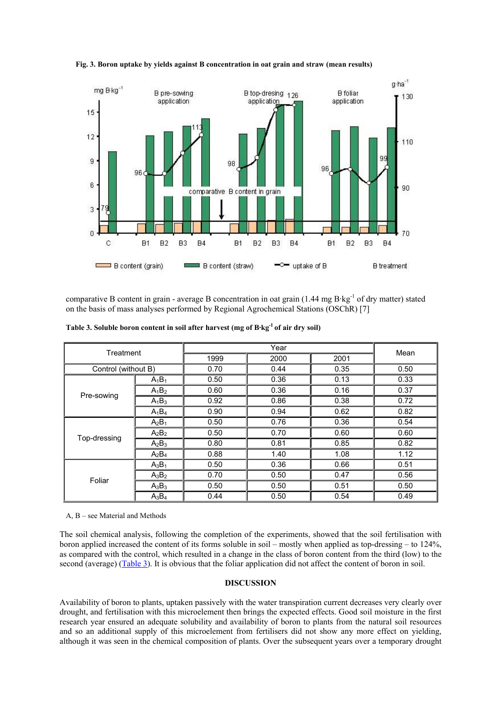

**Fig. 3. Boron uptake by yields against B concentration in oat grain and straw (mean results)**

comparative B content in grain - average B concentration in oat grain (1.44 mg B·kg<sup>-1</sup> of dry matter) stated on the basis of mass analyses performed by Regional Agrochemical Stations (OSChR) [7]

| Treatment           |          |      | Mean |      |      |
|---------------------|----------|------|------|------|------|
|                     |          | 1999 | 2000 | 2001 |      |
| Control (without B) |          | 0.70 | 0.44 | 0.35 | 0.50 |
|                     | $A_1B_1$ | 0.50 | 0.36 | 0.13 | 0.33 |
| Pre-sowing          | $A_1B_2$ | 0.60 | 0.36 | 0.16 | 0.37 |
|                     | $A_1B_3$ | 0.92 | 0.86 | 0.38 | 0.72 |
|                     | $A_1B_4$ | 0.90 | 0.94 | 0.62 | 0.82 |
|                     | $A_2B_1$ | 0.50 | 0.76 | 0.36 | 0.54 |
| Top-dressing        | $A_2B_2$ | 0.50 | 0.70 | 0.60 | 0.60 |
|                     | $A_2B_3$ | 0.80 | 0.81 | 0.85 | 0.82 |
|                     | $A_2B_4$ | 0.88 | 1.40 | 1.08 | 1.12 |
|                     | $A_3B_1$ | 0.50 | 0.36 | 0.66 | 0.51 |
| Foliar              | $A_3B_2$ | 0.70 | 0.50 | 0.47 | 0.56 |
|                     | $A_3B_3$ | 0.50 | 0.50 | 0.51 | 0.50 |
|                     | $A_3B_4$ | 0.44 | 0.50 | 0.54 | 0.49 |

A, B – see Material and Methods

The soil chemical analysis, following the completion of the experiments, showed that the soil fertilisation with boron applied increased the content of its forms soluble in soil – mostly when applied as top-dressing – to 124%, as compared with the control, which resulted in a change in the class of boron content from the third (low) to the second (average) (Table 3). It is obvious that the foliar application did not affect the content of boron in soil.

## **DISCUSSION**

Availability of boron to plants, uptaken passively with the water transpiration current decreases very clearly over drought, and fertilisation with this microelement then brings the expected effects. Good soil moisture in the first research year ensured an adequate solubility and availability of boron to plants from the natural soil resources and so an additional supply of this microelement from fertilisers did not show any more effect on yielding, although it was seen in the chemical composition of plants. Over the subsequent years over a temporary drought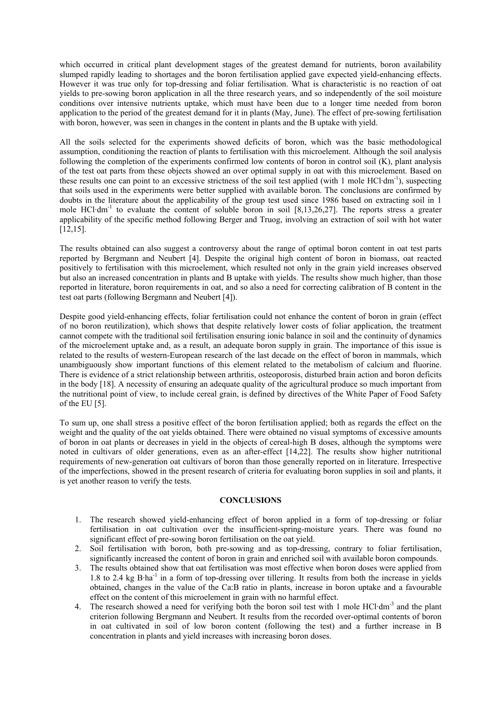which occurred in critical plant development stages of the greatest demand for nutrients, boron availability slumped rapidly leading to shortages and the boron fertilisation applied gave expected yield-enhancing effects. However it was true only for top-dressing and foliar fertilisation. What is characteristic is no reaction of oat yields to pre-sowing boron application in all the three research years, and so independently of the soil moisture conditions over intensive nutrients uptake, which must have been due to a longer time needed from boron application to the period of the greatest demand for it in plants (May, June). The effect of pre-sowing fertilisation with boron, however, was seen in changes in the content in plants and the B uptake with yield.

All the soils selected for the experiments showed deficits of boron, which was the basic methodological assumption, conditioning the reaction of plants to fertilisation with this microelement. Although the soil analysis following the completion of the experiments confirmed low contents of boron in control soil (K), plant analysis of the test oat parts from these objects showed an over optimal supply in oat with this microelement. Based on these results one can point to an excessive strictness of the soil test applied (with 1 mole HCl·dm-1), suspecting that soils used in the experiments were better supplied with available boron. The conclusions are confirmed by doubts in the literature about the applicability of the group test used since 1986 based on extracting soil in 1 mole HCl·dm<sup>-1</sup> to evaluate the content of soluble boron in soil  $[8,13,26,27]$ . The reports stress a greater applicability of the specific method following Berger and Truog, involving an extraction of soil with hot water [12,15].

The results obtained can also suggest a controversy about the range of optimal boron content in oat test parts reported by Bergmann and Neubert [4]. Despite the original high content of boron in biomass, oat reacted positively to fertilisation with this microelement, which resulted not only in the grain yield increases observed but also an increased concentration in plants and B uptake with yields. The results show much higher, than those reported in literature, boron requirements in oat, and so also a need for correcting calibration of B content in the test oat parts (following Bergmann and Neubert [4]).

Despite good yield-enhancing effects, foliar fertilisation could not enhance the content of boron in grain (effect of no boron reutilization), which shows that despite relatively lower costs of foliar application, the treatment cannot compete with the traditional soil fertilisation ensuring ionic balance in soil and the continuity of dynamics of the microelement uptake and, as a result, an adequate boron supply in grain. The importance of this issue is related to the results of western-European research of the last decade on the effect of boron in mammals, which unambiguously show important functions of this element related to the metabolism of calcium and fluorine. There is evidence of a strict relationship between arthritis, osteoporosis, disturbed brain action and boron deficits in the body [18]. A necessity of ensuring an adequate quality of the agricultural produce so much important from the nutritional point of view, to include cereal grain, is defined by directives of the White Paper of Food Safety of the EU [5].

To sum up, one shall stress a positive effect of the boron fertilisation applied; both as regards the effect on the weight and the quality of the oat yields obtained. There were obtained no visual symptoms of excessive amounts of boron in oat plants or decreases in yield in the objects of cereal-high B doses, although the symptoms were noted in cultivars of older generations, even as an after-effect [14,22]. The results show higher nutritional requirements of new-generation oat cultivars of boron than those generally reported on in literature. Irrespective of the imperfections, showed in the present research of criteria for evaluating boron supplies in soil and plants, it is yet another reason to verify the tests.

### **CONCLUSIONS**

- 1. The research showed yield-enhancing effect of boron applied in a form of top-dressing or foliar fertilisation in oat cultivation over the insufficient-spring-moisture years. There was found no significant effect of pre-sowing boron fertilisation on the oat yield.
- 2. Soil fertilisation with boron, both pre-sowing and as top-dressing, contrary to foliar fertilisation, significantly increased the content of boron in grain and enriched soil with available boron compounds.
- 3. The results obtained show that oat fertilisation was most effective when boron doses were applied from 1.8 to 2.4 kg B·ha<sup>-1</sup> in a form of top-dressing over tillering. It results from both the increase in yields obtained, changes in the value of the Ca:B ratio in plants, increase in boron uptake and a favourable effect on the content of this microelement in grain with no harmful effect.
- 4. The research showed a need for verifying both the boron soil test with 1 mole HCl·dm<sup>-3</sup> and the plant criterion following Bergmann and Neubert. It results from the recorded over-optimal contents of boron in oat cultivated in soil of low boron content (following the test) and a further increase in B concentration in plants and yield increases with increasing boron doses.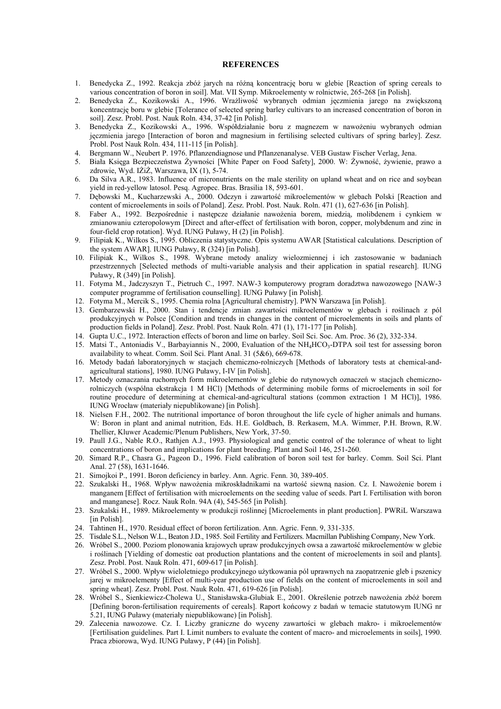#### **REFERENCES**

- 1. Benedycka Z., 1992. Reakcja zbóż jarych na różną koncentrację boru w glebie [Reaction of spring cereals to various concentration of boron in soil]. Mat. VII Symp. Mikroelementy w rolnictwie, 265-268 [in Polish].
- 2. Benedycka Z., Kozikowski A., 1996. Wrażliwość wybranych odmian jęczmienia jarego na zwiększoną koncentracie boru w glebie [Tolerance of selected spring barley cultivars to an increased concentration of boron in soil]. Zesz. Probl. Post. Nauk Roln. 434, 37-42 [in Polish].
- 3. Benedycka Z., Kozikowski A., 1996. Współdziałanie boru z magnezem w nawożeniu wybranych odmian jęczmienia jarego [Interaction of boron and magnesium in fertilising selected cultivars of spring barley]. Zesz. Probl. Post Nauk Roln. 434, 111-115 [in Polish].
- 4. Bergmann W., Neubert P. 1976. Pflanzendiagnose und Pflanzenanalyse. VEB Gustaw Fischer Verlag, Jena.
- 5. Biała Księga Bezpieczeństwa Żywności [White Paper on Food Safety], 2000. W: Żywność, żywienie, prawo a zdrowie, Wyd. IŻiŻ, Warszawa, IX (1), 5-74.
- 6. Da Silva A.R., 1983. Influence of micronutrients on the male sterility on upland wheat and on rice and soybean yield in red-yellow latosol. Pesq. Agropec. Bras. Brasilia 18, 593-601.
- 7. Dębowski M., Kucharzewski A., 2000. Odczyn i zawartość mikroelementów w glebach Polski [Reaction and content of microelements in soils of Poland]. Zesz. Probl. Post. Nauk. Roln. 471 (1), 627-636 [in Polish].
- 8. Faber A., 1992. Bezpośrednie i następcze działanie nawożenia borem, miedzią, molibdenem i cynkiem w zmianowaniu czteropolowym [Direct and after-effect of fertilisation with boron, copper, molybdenum and zinc in four-field crop rotation]. Wyd. IUNG Puławy, H (2) [in Polish].
- 9. Filipiak K., Wilkos S., 1995. Obliczenia statystyczne. Opis systemu AWAR [Statistical calculations. Description of the system AWAR]. IUNG Puławy, R (324) [in Polish].
- 10. Filipiak K., Wilkos S., 1998. Wybrane metody analizy wielozmiennej i ich zastosowanie w badaniach przestrzennych [Selected methods of multi-variable analysis and their application in spatial research]. IUNG Puławy, R (349) [in Polish].
- 11. Fotyma M., Jadczyszyn T., Pietruch C., 1997. NAW-3 komputerowy program doradztwa nawozowego [NAW-3 computer programme of fertilisation counselling]. IUNG Puławy [in Polish].
- 12. Fotyma M., Mercik S., 1995. Chemia rolna [Agricultural chemistry]. PWN Warszawa [in Polish].
- 13. Gembarzewski H., 2000. Stan i tendencje zmian zawartości mikroelementów w glebach i roślinach z pól produkcyjnych w Polsce [Condition and trends in changes in the content of microelements in soils and plants of production fields in Poland]. Zesz. Probl. Post. Nauk Roln. 471 (1), 171-177 [in Polish].
- 14. Gupta U.C., 1972. Interaction effects of boron and lime on barley. Soil Sci. Soc. Am. Proc. 36 (2), 332-334.
- 15. Matsi T., Antoniadis V., Barbayiannis N., 2000, Evaluation of the NH<sub>4</sub>HCO<sub>3</sub>-DTPA soil test for assessing boron availability to wheat. Comm. Soil Sci. Plant Anal. 31 (5&6), 669-678.
- 16. Metody badań laboratoryjnych w stacjach chemiczno-rolniczych [Methods of laboratory tests at chemical-andagricultural stations], 1980. IUNG Puławy, I-IV [in Polish].
- 17. Metody oznaczania ruchomych form mikroelementów w glebie do rutynowych oznaczeń w stacjach chemicznorolniczych (wspólna ekstrakcja 1 M HCl) [Methods of determining mobile forms of microelements in soil for routine procedure of determining at chemical-and-agricultural stations (common extraction 1 M HCl)], 1986. IUNG Wrocław (materiały niepublikowane) [in Polish].
- 18. Nielsen F.H., 2002. The nutritional importance of boron throughout the life cycle of higher animals and humans. W: Boron in plant and animal nutrition, Eds. H.E. Goldbach, B. Rerkasem, M.A. Wimmer, P.H. Brown, R.W. Thellier, Kluwer Academic/Plenum Publishers, New York, 37-50.
- 19. Paull J.G., Nable R.O., Rathjen A.J., 1993. Physiological and genetic control of the tolerance of wheat to light concentrations of boron and implications for plant breeding. Plant and Soil 146, 251-260.
- 20. Simard R.P., Chasra G., Pageon D., 1996. Field calibration of boron soil test for barley. Comm. Soil Sci. Plant Anal. 27 (58), 1631-1646.
- 21. Simojkoi P., 1991. Boron deficiency in barley. Ann. Agric. Fenn. 30, 389-405.
- 22. Szukalski H., 1968. Wpływ nawożenia mikroskładnikami na wartość siewną nasion. Cz. I. Nawożenie borem i manganem [Effect of fertilisation with microelements on the seeding value of seeds. Part I. Fertilisation with boron and manganese]. Rocz. Nauk Roln. 94A (4), 545-565 [in Polish].
- 23. Szukalski H., 1989. Mikroelementy w produkcji roślinnej [Microelements in plant production]. PWRiL Warszawa [in Polish].
- 24. Tahtinen H., 1970. Residual effect of boron fertilization. Ann. Agric. Fenn. 9, 331-335.
- 25. Tisdale S.L., Nelson W.L., Beaton J.D., 1985. Soil Fertility and Fertilizers. Macmillan Publishing Company, New York.
- 26. Wróbel S., 2000. Poziom plonowania krajowych upraw produkcyjnych owsa a zawartość mikroelementów w glebie i roślinach [Yielding of domestic oat production plantations and the content of microelements in soil and plants]. Zesz. Probl. Post. Nauk Roln. 471, 609-617 [in Polish].
- 27. Wróbel S., 2000. Wpływ wieloletniego produkcyjnego użytkowania pól uprawnych na zaopatrzenie gleb i pszenicy jarej w mikroelementy [Effect of multi-year production use of fields on the content of microelements in soil and spring wheat]. Zesz. Probl. Post. Nauk Roln. 471, 619-626 [in Polish].
- 28. Wróbel S., Sienkiewicz-Cholewa U., Stanisławska-Glubiak E., 2001. Określenie potrzeb nawożenia zbóż borem [Defining boron-fertilisation requirements of cereals]. Raport końcowy z badań w temacie statutowym IUNG nr 5.21, IUNG Puławy (materiały niepublikowane) [in Polish].
- 29. Zalecenia nawozowe. Cz. I. Liczby graniczne do wyceny zawartości w glebach makro- i mikroelementów [Fertilisation guidelines. Part I. Limit numbers to evaluate the content of macro- and microelements in soils], 1990. Praca zbiorowa, Wyd. IUNG Puławy, P (44) [in Polish].